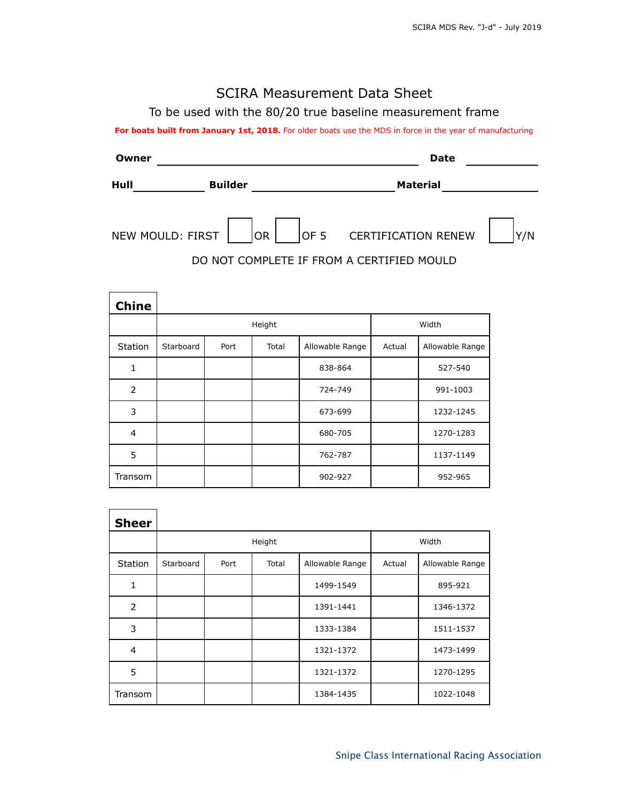## SCIRA Measurement Data Sheet

To be used with the 80/20 true baseline measurement frame

For boats built from January 1st, 2018. For older boats use the MDS in force in the year of manufacturing

| Owner |                  |           | <b>Date</b>                               |     |  |  |  |
|-------|------------------|-----------|-------------------------------------------|-----|--|--|--|
| Hull  | <b>Builder</b>   |           | <b>Material</b>                           |     |  |  |  |
|       | NEW MOULD: FIRST | <b>OR</b> | OF 5 CERTIFICATION RENEW                  | Y/N |  |  |  |
|       |                  |           | DO NOT COMPLETE IF FROM A CERTIFIED MOULD |     |  |  |  |

| <b>Chine</b>   |           |        |       |                 |        |                 |
|----------------|-----------|--------|-------|-----------------|--------|-----------------|
|                |           | Height |       | Width           |        |                 |
| <b>Station</b> | Starboard | Port   | Total | Allowable Range | Actual | Allowable Range |
| 1              |           |        |       | 838-864         |        | 527-540         |
| 2              |           |        |       | 724-749         |        | 991-1003        |
| 3              |           |        |       | 673-699         |        | 1232-1245       |
| 4              |           |        |       | 680-705         |        | 1270-1283       |
| 5              |           |        |       | 762-787         |        | 1137-1149       |
| Transom        |           |        |       | 902-927         |        | 952-965         |

| <b>Sheer</b>   |           |        |       |                 |        |                 |
|----------------|-----------|--------|-------|-----------------|--------|-----------------|
|                |           | Height |       | Width           |        |                 |
| Station        | Starboard | Port   | Total | Allowable Range | Actual | Allowable Range |
| 1              |           |        |       | 1499-1549       |        | 895-921         |
| $\overline{2}$ |           |        |       | 1391-1441       |        | 1346-1372       |
| 3              |           |        |       | 1333-1384       |        | 1511-1537       |
| $\overline{4}$ |           |        |       | 1321-1372       |        | 1473-1499       |
| 5              |           |        |       | 1321-1372       |        | 1270-1295       |
| Transom        |           |        |       | 1384-1435       |        | 1022-1048       |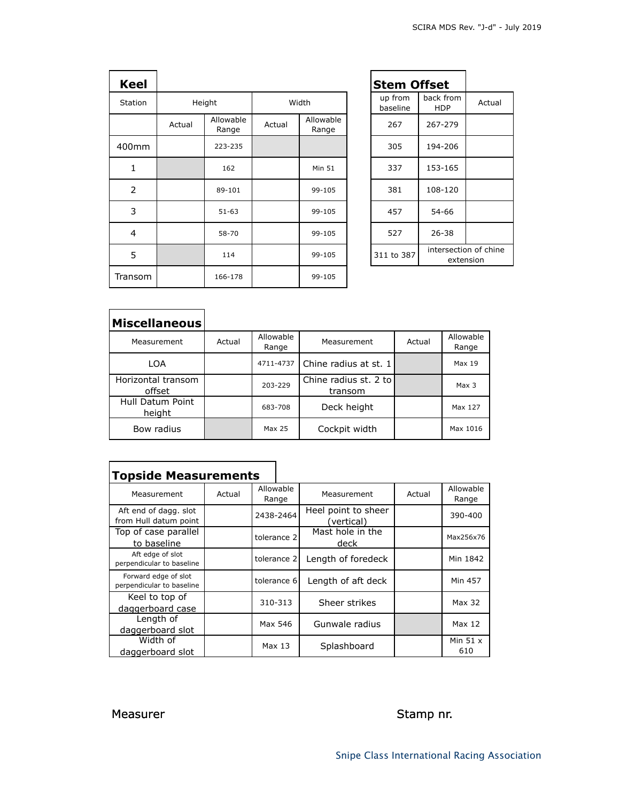| <b>Keel</b>    |        |                    |        |                    | <b>Stem Offset</b>  |                         |
|----------------|--------|--------------------|--------|--------------------|---------------------|-------------------------|
| Station        | Height |                    | Width  |                    | up from<br>baseline | back fron<br><b>HDP</b> |
|                | Actual | Allowable<br>Range | Actual | Allowable<br>Range | 267                 | 267-279                 |
| 400mm          |        | 223-235            |        |                    | 305                 | 194-206                 |
| $\mathbf{1}$   |        | 162                |        | <b>Min 51</b>      | 337                 | 153-165                 |
| $\overline{2}$ |        | 89-101             |        | 99-105             | 381                 | 108-120                 |
| 3              |        | $51 - 63$          |        | 99-105             | 457                 | 54-66                   |
| 4              |        | 58-70              |        | 99-105             | 527                 | $26 - 38$               |
| 5              |        | 114                |        | 99-105             | 311 to 387          | intersect<br>ext        |
| Transom        |        | 166-178            |        | 99-105             |                     |                         |

|                   | <b>Stem Offset</b>                               |                     |                         |        |  |  |  |
|-------------------|--------------------------------------------------|---------------------|-------------------------|--------|--|--|--|
|                   |                                                  | up from<br>baseline | back from<br><b>HDP</b> | Actual |  |  |  |
| llowable<br>Range |                                                  | 267                 | 267-279                 |        |  |  |  |
|                   |                                                  | 305                 | 194-206                 |        |  |  |  |
| <b>Min 51</b>     |                                                  | 337                 | 153-165                 |        |  |  |  |
| 99-105            |                                                  | 381                 | 108-120                 |        |  |  |  |
| 99-105            |                                                  | 457                 | 54-66                   |        |  |  |  |
| 99-105            |                                                  | 527                 | $26 - 38$               |        |  |  |  |
| 99-105            | intersection of chine<br>311 to 387<br>extension |                     |                         |        |  |  |  |
|                   |                                                  |                     |                         |        |  |  |  |

| <b>Miscellaneous</b>         |        |                    |                                  |        |                    |
|------------------------------|--------|--------------------|----------------------------------|--------|--------------------|
| Measurement                  | Actual | Allowable<br>Range | Measurement                      | Actual | Allowable<br>Range |
| LOA                          |        | 4711-4737          | Chine radius at st. 1            |        | Max 19             |
| Horizontal transom<br>offset |        | 203-229            | Chine radius st. 2 to<br>transom |        | Max <sub>3</sub>   |
| Hull Datum Point<br>height   |        | 683-708            | Deck height                      |        | Max 127            |
| Bow radius                   |        | Max 25             | Cockpit width                    |        | Max 1016           |

┑

| <b>Topside Measurements</b>                       |        |                    |                                   |        |                    |
|---------------------------------------------------|--------|--------------------|-----------------------------------|--------|--------------------|
| Measurement                                       | Actual | Allowable<br>Range | Measurement                       | Actual | Allowable<br>Range |
| Aft end of dagg. slot<br>from Hull datum point    |        | 2438-2464          | Heel point to sheer<br>(vertical) |        | 390-400            |
| Top of case parallel<br>to baseline               |        | tolerance 2        | Mast hole in the<br>deck          |        | Max256x76          |
| Aft edge of slot<br>perpendicular to baseline     |        | tolerance 2        | Length of foredeck                |        | Min 1842           |
| Forward edge of slot<br>perpendicular to baseline |        | tolerance 6        | Length of aft deck                |        | Min 457            |
| Keel to top of<br>daggerboard case                |        | 310-313            | Sheer strikes                     |        | Max 32             |
| Length of<br>daggerboard slot                     |        | Max 546            | Gunwale radius                    |        | Max 12             |
| Width of<br>daggerboard slot                      |        | Max 13             | Splashboard                       |        | Min $51x$<br>610   |

## Measurer Stamp nr.